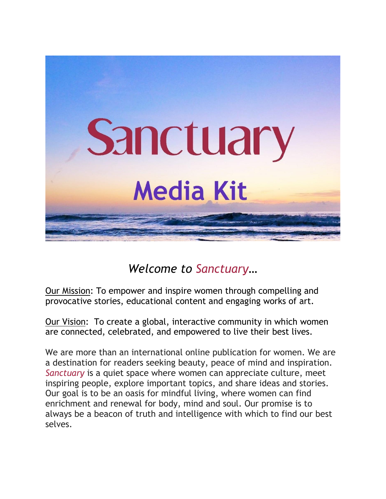

# *Welcome to Sanctuary…*

Our Mission: To empower and inspire women through compelling and provocative stories, educational content and engaging works of art.

Our Vision: To create a global, interactive community in which women are connected, celebrated, and empowered to live their best lives.

We are more than an international online publication for women. We are a destination for readers seeking beauty, peace of mind and inspiration. *Sanctuary* is a quiet space where women can appreciate culture, meet inspiring people, explore important topics, and share ideas and stories. Our goal is to be an oasis for mindful living, where women can find enrichment and renewal for body, mind and soul. Our promise is to always be a beacon of truth and intelligence with which to find our best selves.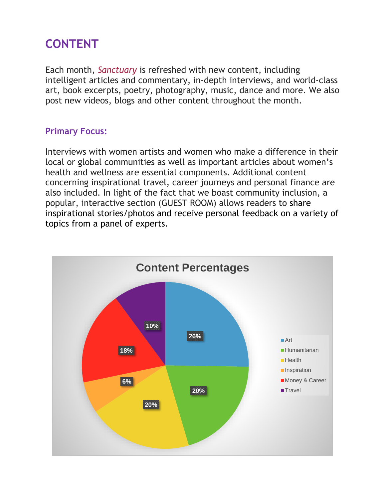# **CONTENT**

Each month, *Sanctuary* is refreshed with new content, including intelligent articles and commentary, in-depth interviews, and world-class art, book excerpts, poetry, photography, music, dance and more. We also post new videos, blogs and other content throughout the month.

## **Primary Focus:**

Interviews with women artists and women who make a difference in their local or global communities as well as important articles about women's health and wellness are essential components. Additional content concerning inspirational travel, career journeys and personal finance are also included. In light of the fact that we boast community inclusion, a popular, interactive section (GUEST ROOM) allows readers to share inspirational stories/photos and receive personal feedback on a variety of topics from a panel of experts.

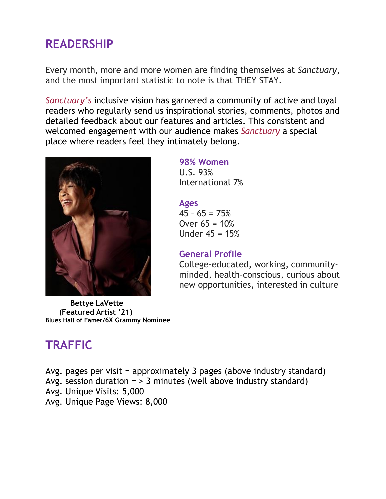## **READERSHIP**

Every month, more and more women are finding themselves at *Sanctuary*, and the most important statistic to note is that THEY STAY.

*Sanctuary's* inclusive vision has garnered a community of active and loyal readers who regularly send us inspirational stories, comments, photos and detailed feedback about our features and articles. This consistent and welcomed engagement with our audience makes *Sanctuary* a special place where readers feel they intimately belong.



**Bettye LaVette (Featured Artist '21) Blues Hall of Famer/6X Grammy Nominee**

## **98% Women**

U.S. 93% International 7%

## **Ages**

 $45 - 65 = 75%$ Over  $65 = 10%$ Under 45 = 15%

## **General Profile**

College-educated, working, communityminded, health-conscious, curious about new opportunities, interested in culture

# **TRAFFIC**

Avg. pages per visit = approximately 3 pages (above industry standard) Avg. session duration =  $> 3$  minutes (well above industry standard) Avg. Unique Visits: 5,000

Avg. Unique Page Views: 8,000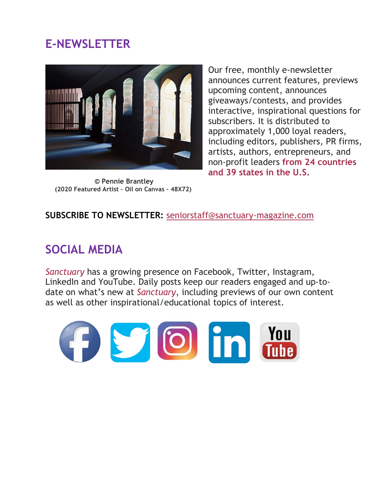## **E-NEWSLETTER**



 **© Pennie Brantley (2020 Featured Artist – Oil on Canvas – 48X72)**

Our free, monthly e-newsletter announces current features, previews upcoming content, announces giveaways/contests, and provides interactive, inspirational questions for subscribers. It is distributed to approximately 1,000 loyal readers, including editors, publishers, PR firms, artists, authors, entrepreneurs, and non-profit leaders **from 24 countries and 39 states in the U.S.**

**SUBSCRIBE TO NEWSLETTER:** [seniorstaff@sanctuary-magazine.com](mailto:seniorstaff@sanctuary-magazine.com)

# **SOCIAL MEDIA**

*Sanctuary* has a growing presence on Facebook, Twitter, Instagram, LinkedIn and YouTube. Daily posts keep our readers engaged and up-todate on what's new at *Sanctuary*, including previews of our own content as well as other inspirational/educational topics of interest.

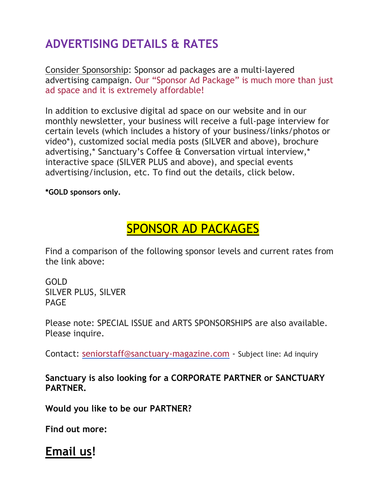# **ADVERTISING DETAILS & RATES**

Consider Sponsorship: Sponsor ad packages are a multi-layered advertising campaign. Our "Sponsor Ad Package" is much more than just ad space and it is extremely affordable!

In addition to exclusive digital ad space on our website and in our monthly newsletter, your business will receive a full-page interview for certain levels (which includes a history of your business/links/photos or video\*), customized social media posts (SILVER and above), brochure advertising,\* Sanctuary's Coffee & Conversation virtual interview,\* interactive space (SILVER PLUS and above), and special events advertising/inclusion, etc. To find out the details, click below.

**\*GOLD sponsors only.**

# SPONSOR AD [PACKAGES](http://www.sanctuary-magazine.com/sponsor-ad-packages.html)

Find a comparison of the following sponsor levels and current rates from the link above:

GOLD SILVER PLUS, SILVER PAGE

Please note: SPECIAL ISSUE and ARTS SPONSORSHIPS are also available. Please inquire.

Contact: [seniorstaff@sanctuary-magazine.com](mailto:seniorstaff@sanctuary-magazine.com) - Subject line: Ad inquiry

**Sanctuary is also looking for a CORPORATE PARTNER or SANCTUARY PARTNER.**

**Would you like to be our PARTNER?**

**Find out more:**

## **[Email](mailto:seniorstaff@sanctuary-magazine.com?subject=Inquiry%20about%20partnership) us!**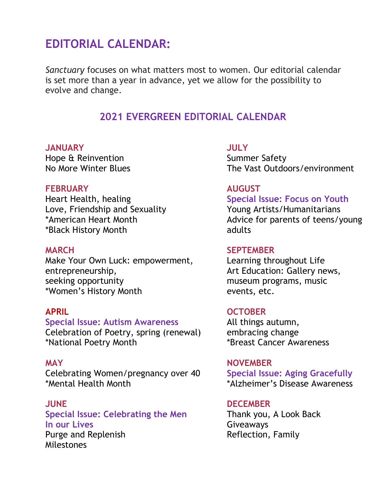## **EDITORIAL CALENDAR:**

*Sanctuary* focuses on what matters most to women. Our editorial calendar is set more than a year in advance, yet we allow for the possibility to evolve and change.

## **2021 EVERGREEN EDITORIAL CALENDAR**

### **JANUARY JULY**

Hope & Reinvention **Summer Safety** Summer Safety

### **FEBRUARY AUGUST**

Heart Health, healing **Special Issue: Focus on Youth** Love, Friendship and Sexuality Young Artists/Humanitarians \*Black History Month adults

Make Your Own Luck: empowerment, Learning throughout Life entrepreneurship, and the same of the Art Education: Gallery news, seeking opportunity museum programs, music \*Women's History Month events, etc.

**Special Issue: Autism Awareness** All things autumn, Celebration of Poetry, spring (renewal) embracing change \*National Poetry Month \*Breast Cancer Awareness

Celebrating Women/pregnancy over 40 **Special Issue: Aging Gracefully** \*Mental Health Month \*Alzheimer's Disease Awareness

**Special Issue: Celebrating the Men** Thank you, A Look Back **In our Lives** Giveaways Purge and Replenish **Reflection**, Family Milestones

No More Winter Blues The Vast Outdoors/environment

\*American Heart Month **Advice for parents of teens/young** \*

### **MARCH SEPTEMBER**

### **APRIL OCTOBER**

**MAY NOVEMBER**

### **JUNE DECEMBER**